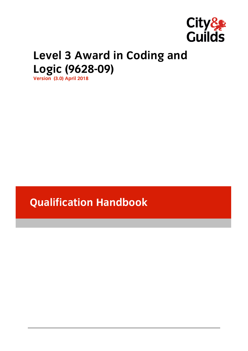

# **Level 3 Award in Coding and**

**Logic (9628-09) Version (3.0) April 2018**

**Qualification Handbook**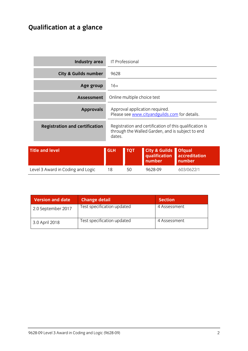# **Qualification at a glance**

|                                       | Industry area                   |            | <b>IT Professional</b> |                                                                                                             |                                          |
|---------------------------------------|---------------------------------|------------|------------------------|-------------------------------------------------------------------------------------------------------------|------------------------------------------|
|                                       | <b>City &amp; Guilds number</b> | 9628       |                        |                                                                                                             |                                          |
|                                       | Age group                       | $16+$      |                        |                                                                                                             |                                          |
|                                       | <b>Assessment</b>               |            |                        | Online multiple choice test                                                                                 |                                          |
|                                       | <b>Approvals</b>                |            |                        | Approval application required.<br>Please see www.cityandguilds.com for details.                             |                                          |
| <b>Registration and certification</b> |                                 | dates.     |                        | Registration and certification of this qualification is<br>through the Walled Garden, and is subject to end |                                          |
| <b>Title and level</b>                |                                 | <b>GLH</b> | <b>TQT</b>             | <b>City &amp; Guilds</b><br>qualification<br>number                                                         | <b>Ofqual</b><br>accreditation<br>number |
| Level 3 Award in Coding and Logic     |                                 | 18         | 50                     | 9628-09                                                                                                     | 603/0622/1                               |

| <b>Version and date</b> | <b>Change detail</b>       | <b>Section</b> |
|-------------------------|----------------------------|----------------|
| 2.0 September 2017      | Test specification updated | 4 Assessment   |
| 3.0 April 2018          | Test specification updated | 4 Assessment   |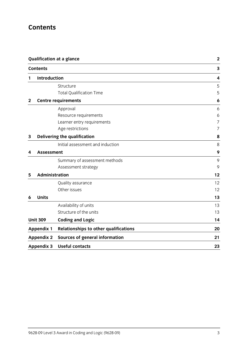## **Contents**

|              |                     | <b>Qualification at a glance</b>             | $\mathbf 2$ |
|--------------|---------------------|----------------------------------------------|-------------|
|              | <b>Contents</b>     |                                              | 3           |
| 1            | <b>Introduction</b> |                                              | 4           |
|              |                     | Structure                                    | 5           |
|              |                     | <b>Total Qualification Time</b>              | 5           |
| $\mathbf{2}$ |                     | <b>Centre requirements</b>                   | 6           |
|              |                     | Approval                                     | 6           |
|              |                     | Resource requirements                        | 6           |
|              |                     | Learner entry requirements                   | 7           |
|              |                     | Age restrictions                             | 7           |
| 3            |                     | Delivering the qualification                 | 8           |
|              |                     | Initial assessment and induction             | 8           |
| 4            | <b>Assessment</b>   |                                              | 9           |
|              |                     | Summary of assessment methods                | 9           |
|              |                     | Assessment strategy                          | 9           |
| 5            | Administration      |                                              | 12          |
|              |                     | Quality assurance                            | 12          |
|              |                     | Other issues                                 | 12          |
| 6            | <b>Units</b>        |                                              | 13          |
|              |                     | Availability of units                        | 13          |
|              |                     | Structure of the units                       | 13          |
|              | <b>Unit 309</b>     | <b>Coding and Logic</b>                      | 14          |
|              | <b>Appendix 1</b>   | <b>Relationships to other qualifications</b> | 20          |
|              | <b>Appendix 2</b>   | <b>Sources of general information</b>        | 21          |
|              | <b>Appendix 3</b>   | <b>Useful contacts</b>                       | 23          |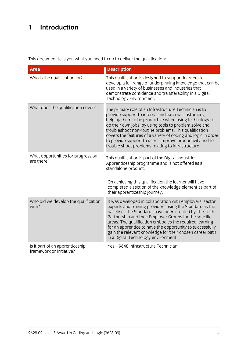# **1 Introduction**

This document tells you what you need to do to deliver the qualification:

| <b>Area</b>                                                 | <b>Description</b>                                                                                                                                                                                                                                                                                                                                                                                                                                                            |
|-------------------------------------------------------------|-------------------------------------------------------------------------------------------------------------------------------------------------------------------------------------------------------------------------------------------------------------------------------------------------------------------------------------------------------------------------------------------------------------------------------------------------------------------------------|
| Who is the qualification for?                               | This qualification is designed to support learners to<br>develop a full range of underpinning knowledge that can be<br>used in a variety of businesses and industries that<br>demonstrate confidence and transferability in a Digital<br>Technology Environment.                                                                                                                                                                                                              |
| What does the qualification cover?                          | The primary role of an Infrastructure Technician is to<br>provide support to internal and external customers,<br>helping them to be productive when using technology to<br>do their own jobs, by using tools to problem solve and<br>troubleshoot non-routine problems. This qualification<br>covers the features of a variety of coding and logic in order<br>to provide support to users, improve productivity and to<br>trouble shoot problems relating to infrastructure. |
| What opportunities for progression<br>are there?            | This qualification is part of the Digital Industries<br>Apprenticeship programme and is not offered as a<br>standalone product.                                                                                                                                                                                                                                                                                                                                               |
|                                                             | On achieving this qualification the learner will have<br>completed a section of the knowledge element as part of<br>their apprenticeship journey.                                                                                                                                                                                                                                                                                                                             |
| Who did we develop the qualification<br>with?               | It was developed in collaboration with employers, sector<br>experts and training providers using the Standard as the<br>baseline. The Standards have been created by The Tech<br>Partnership and their Employer Groups for the specific<br>areas. The qualification embodies the required learning<br>for an apprentice to have the opportunity to successfully<br>gain the relevant knowledge for their chosen career path<br>in a Digital Technology environment.           |
| Is it part of an apprenticeship<br>framework or initiative? | Yes-9648 Infrastructure Technician                                                                                                                                                                                                                                                                                                                                                                                                                                            |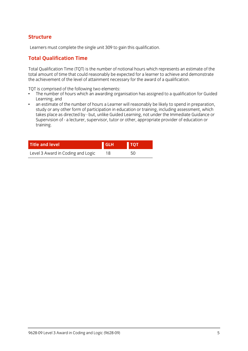# **Structure**

Learners must complete the single unit 309 to gain this qualification.

# **Total Qualification Time**

Total Qualification Time (TQT) is the number of notional hours which represents an estimate of the the achieve ment of the level of attainment necessary for the award of a qualification the achievement of the level of attainment necessary for the award of a qualification.

- TQT is comprised of the following two elements:<br>• The number of hours which an awarding organisation has assigned to a qualification for Guided Learning, and
- an estimate of the number of hours a Learner will reasonably be likely to spend in preparation.  $\bullet$ study or any other form of participation in education or training, including assessment, which takes place as directed by - but, unlike Guided Learning, not under the Immediate Guidance or takes place as an execute, near, and the same Learning, not under the immediate Guidance or<br>Supervision of - a lecturer is unervisor i tutor or other ianoropriate provider of education or Supervision of - a lecturer, supervisor, tutor or other, appropriate provider of education or training.

| <b>Title and level</b>            | <b>GLH</b> | <b>TOT</b> |
|-----------------------------------|------------|------------|
| Level 3 Award in Coding and Logic | 18         | 50         |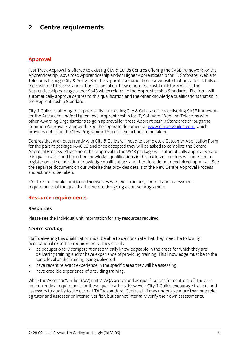#### $\overline{2}$ **2 Centre requirements**

### **Approval**

Fast Track Approval is offered to existing City & Guilds Centres offering the SASE framework for the<br>Apprenticeship, Advanced Apprenticeship and/or Higher Apprenticeship for IT, Software, Web and Telecoms through City & Guilds. See the separate document on our website that provides details of the Fast Track Process and actions to be taken. Please note the Fast Track form will list the Apprenticeship package under 9648 which relates to the Apprenticeship Standards. The form will automatically approve centres to this qualification and the other knowledge qualifications that sit in the Apprenticeship Standard. the Apprenticeship Standard.

City & Guilds is offering the opportunity for existing City & Guilds centres delivering SASE framework for the Advanced and/or Higher Level Apprenticeship for IT, Software, Web and Telecoms with other Awarding Organisations to gain approval for these Apprenticeship Standards through the Common Approval Framework. See the separate document at www.cityandguilds.com which Common Apple Framework. See the separate document at the separate document at the separate document at which the separate document at which the separate document at which the separate document at which the separate documen provides details of the New Programme Process and actions to be taken.

Centres that are not currently with City & Guilds will need to complete a Customer Application Form Approval Process. Please note that approval to the 9648 package will automatically approve you to this qualification and the other knowledge qualifications in this package - centres will not need to register onto the individual knowledge qualifications and therefore do not need direct approval. See the separate document on our website that provides details of the New Centre Approval Process and actions to be taken and actions to be taken.

Centre staff should familiarise themselves with the structure, content and assessment requirements of the qualification before designing a course programme. requirements of the qualification before designing a course programme.

#### **Resource requirements**

#### **Resources** *Resources*

Please see the individual unit information for any resources required.

#### *Centre staffing*

Staff delivering this qualification must be able to demonstrate that they meet the following occupational expertise requirements. They should:

- be occupationally competent or technically knowledgeable in the areas for which they are delivering training and/or have experience of providing training. This knowledge must be to the same level as the training being delivered
- have recent relevant experience in the specific area they will be assessing<br>• have credible experience of providing training
- have credible experience of providing training.

While the Assessor/Verifier (A/V) units/TAQA are valued as qualifications for centre staff, they are not currently a requirement for these qualifications. However, City & Guilds encourage trainers and assessors to qualify to the current TAOA standard. Centre staff may undertake more than one role. eg tutor and assessor or internal verifier, but cannot internally verify their own assessments. eg tutor and assessor or internal verifier, but cannot internally verify their own assessments.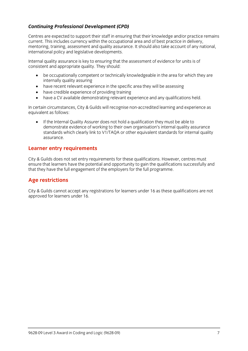# *Continuing Professional Development (CPD)*

Centres are expected to support their staff in ensuring that their knowledge and/or practice remains current. This includes currency within the occupational area and of best practice in delivery. mentoring, training, assessment and quality assurance. It should also take account of any national, international policy and legislative developments. international policy and legislative developments.

Internal quality assurance is key to ensuring that the assessment of evidence for units is of consistent and appropriate  $\frac{1}{2}$  should: They should: They should: They should: They should: They should: They should: They should: They should: They should: They should: They should: They should: They should: They sho

- be occupationally competent or technically knowledgeable in the area for which they are
- have recent relevant experience in the specific area they will be assessing<br>• have credible experience of providing training
- have credible experience of providing training
- have a CV available demonstrating relevant experience and any qualifications held.

In certain circumstances, City & Guilds will recognise non-accredited learning and experience as equivalent as follows:

If the Internal Quality Assurer does not hold a qualification they must be able to demonstrate evidence of working to their own organisation's internal quality assurance standards which clearly link to V1/TAOA or other equivalent standards for internal quality standards which clearly link to V1/TAQA or other equivalent standards for internal quality.<br>ASSUIFANCE assurance.

# **Learner entry requirements**

City & Guilds does not set entry requirements for these qualifications. However, centres must ensure that learners have the potential and opportunity to gain the qualifications successfully and that they have the full engagement of the employers for the full programme.  $t_{\rm t}$  that the employers for the full programme.

# **Age restrictions**

 $\frac{1}{2}$  cannot accept any registrations for learners under 16  $\frac{1}{2}$ approved for learners under 16.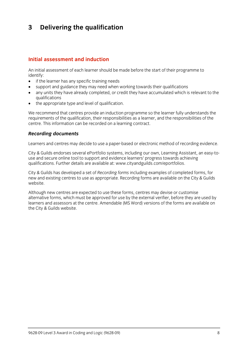### $\mathbf{3}$ **3 Delivering the qualification**

#### Initial assessment and induction **Initial assessment and induction**

An initial assessment of each learner should be made before the start of their programme to identify:

- $\bullet$  if the learner has any specific training needs<br>  $\bullet$  sunnort and quidance they may need when
- support and guidance they may need when working towards their qualifications
- any units they have already completed, or credit they have accumulated which is relevant to the
- $\bullet$  the appropriate type and level of qualification.

We recommend that centres provide an induction programme so the learner fully understands the requirements of the qualification, their responsibilities as a learner, and the responsibilities of the centre. This information can be recorded on a learning contract. centre. This information can be recorded on a learning contract.

# *Recording documents*

Learners and centres may decide to use a paper-based or electronic method of recording evidence.

City & Guilds endorses several ePortfolio systems, including our own, Learning Assistant, an easy-to-<br>use and secure online tool to support and evidence learners' progress towards achieving qualifications. Further details are available at: www.cityandguilds.com/eportfolios.  $q_1$ . Further details are available at: www.cityandguilds.com/epoch.com/epoch.com/epoch.com/epoch.com/epoch.com/epoch.com/epoch.com/epoch.com/epoch.com/epoch.com/epoch.com/epoch.com/epoch.com/epoch.com/epoch.com/epoch.co

City & Guilds has developed a set of *Recording forms* including examples of completed forms, for new and existing centres to use as appropriate. Recording forms are available on the City & Guilds website.

Although new centres are expected to use these forms, centres may devise or customise<br>alternative forms, which must be approved for use by the external verifier, before they are used by learners and assessors at the centre. Amendable (MS Word) versions of the forms are available on the City & Guilds website.  $t_{\rm t}$  the City website.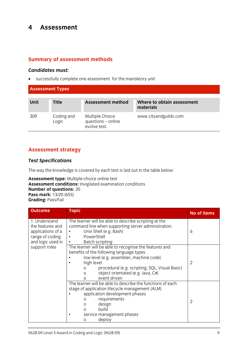#### $\overline{\mathbf{4}}$ **4 Assessment**

### **Summary of assessment methods**

*Candidates must:* successfully complete one assessment for the mandatory unit

| <b>Assessment Types</b> |                     |                                                       |                                         |
|-------------------------|---------------------|-------------------------------------------------------|-----------------------------------------|
| Unit                    | <b>Title</b>        | Assessment method                                     | Where to obtain assessment<br>materials |
| 309                     | Coding and<br>Logic | Multiple Choice<br>questions - online<br>evolve test. | www.cityandguilds.com                   |

#### **Assessment strategy**

#### *Test Specifications*

The way the knowledge is covered by each test is laid out in the table below:<br> **Assessment type:** Multiple-choice online test

Assessment conditions: Invigilated examination conditions **Number of questions:** 20 **Pass mark:** 13/20 (65%) **Grading: Pass/Fail Grading:** Pass/Fail

| <b>Outcome</b>                                                                                 | <b>Topic</b>                                                                                                                                                                                                                                                                                         | No of items |
|------------------------------------------------------------------------------------------------|------------------------------------------------------------------------------------------------------------------------------------------------------------------------------------------------------------------------------------------------------------------------------------------------------|-------------|
| 1. Understand<br>the features and<br>applications of a<br>range of coding<br>and logic used in | The learner will be able to describe scripting at the<br>command line when supporting server administration.<br>Unix Shell (e.g. Bash)<br>PowerShell<br>$\bullet$<br>Batch scripting                                                                                                                 | 6           |
| support roles                                                                                  | The learner will be able to recognise the features and<br>benefits of the following language types<br>low level (e.g. assembler, machine code)<br>high level<br>procedural (e.g. scripting, SQL, Visual Basic)<br>0<br>object orientated (e.g. Java, C#)<br>$\mathsf{O}$<br>event driven<br>$\Omega$ | 2           |
|                                                                                                | The learner will be able to describe the functions of each<br>stage of application lifecycle management (ALM)<br>application development phases<br>requirements<br>0<br>design<br>$\mathcal{O}$<br>build<br>$\Omega$<br>service management phases<br>deploy<br>$\Omega$                              | 2           |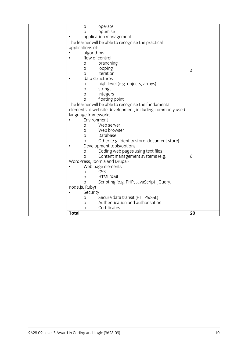| operate<br>O                                             |                |
|----------------------------------------------------------|----------------|
| optimise<br>$\overline{O}$                               |                |
| application management                                   |                |
| The learner will be able to recognise the practical      |                |
| applications of:                                         |                |
| algorithms                                               |                |
| flow of control                                          |                |
| branching<br>$\mathcal{O}$                               |                |
| looping<br>O                                             | $\overline{4}$ |
| iteration<br>$\circ$                                     |                |
| data structures                                          |                |
| high level (e.g. objects, arrays)<br>O                   |                |
| strings<br>$\mathsf O$                                   |                |
| integers<br>$\Omega$                                     |                |
| floating point<br>O                                      |                |
| The learner will be able to recognise the fundamental    |                |
| elements of website development, including commonly used |                |
| language frameworks.                                     |                |
| Environment                                              |                |
| Web server<br>O                                          |                |
| Web browser<br>$\Omega$                                  |                |
| Database<br>0                                            |                |
| Other (e.g. identity store, document store)<br>O         |                |
| Development tools/options                                |                |
| Coding web pages using text files<br>$\mathsf O$         |                |
| Content management systems (e.g.<br>$\overline{O}$       | 6              |
| WordPress, Joomla and Drupal)                            |                |
| Web page elements                                        |                |
| CSS<br>O                                                 |                |
| HTML/XML<br>O                                            |                |
| Scripting (e.g. PHP, JavaScript, jQuery,<br>$\Omega$     |                |
| node.js, Ruby)                                           |                |
| Security                                                 |                |
| Secure data transit (HTTPS/SSL)<br>$\circ$               |                |
| Authentication and authorisation<br>O                    |                |
| Certificates<br>$\Omega$                                 |                |
| <b>Total</b>                                             | 20             |
|                                                          |                |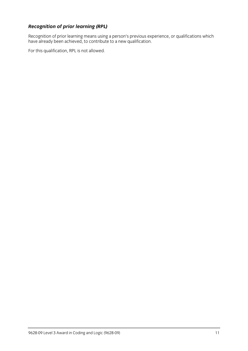*Recognition of prior learning (RPL)*<br>Recognition of prior learning means using a person's previous experience, or qualifications which Recognition of prior learning means using a person's previous experience, or qualifications which have a recogni have already been achieved, to contribute to a new qualification.

For this qualification, RPL is not allowed.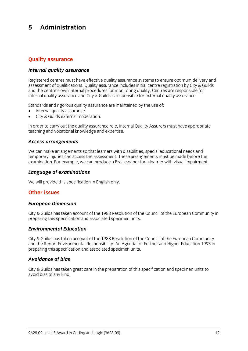#### 5 Administration **5 Administration**

# **Quality assurance**

#### *Internal quality assurance*

Registered centres must have effective quality assurance systems to ensure optimum delivery and<br>assessment of qualifications. Quality assurance includes initial centre registration by City & Guilds and the centre's own internal procedures for monitoring quality. Centres are responsible for internal quality assurance and City & Guilds is responsible for external quality assurance. internal quality assurance and City & Guilds is responsible for external quality assurance.

- $\bullet$  internal quality assurance<br>  $\bullet$  City & Guilds external moderation
- City & Guilds external moderation.

In order to carry out the quality assurance role, Internal Quality Assurers must have appropriate teaching and vocational knowledge and expertise. teaching and vocational knowledge and expertise.

# *Access arrangements*

We can make arrangements so that learners with disabilities, special educational needs and<br>temporary injuries can access the assessment. These arrangements must be made before the  $\frac{1}{2}$  in  $\frac{1}{2}$  is the cannon contract the assessment. The assessment of  $\frac{1}{2}$  arrangement of  $\frac{1}{2}$  arrangement of  $\frac{1}{2}$  arrangement of  $\frac{1}{2}$  arrangement of  $\frac{1}{2}$  arrangement of  $\frac{1}{2}$  arrang examination. For example, we can produce a Braille paper for a learner with visual impairment.

# *Language of examinations*

 $\mathbb{R}^n$  will provide this specification in Eq. (

# **Other issues**

# *European Dimension*

City & Guilds has taken account of the 1988 Resolution of the Council of the European Community in preparing this specification and associated specimen units. preparing this specification and associated specimen units.

# *Environmental Education*

City & Guilds has taken account of the 1988 Resolution of the Council of the European Community preparing this specification and associated specimen units. preparing this specification and associated specimen units.

#### **Avoidance of bias** *Avoidance of bias*

City & Guilds has taken great care in the preparation of this specification and specimen units to avoid bias of any kind.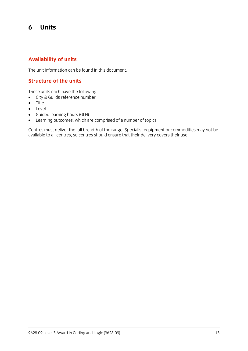### 6 **6 Units**

### **Availability of units**

The unit information can be found in this document.

### **Structure of the units**

- $\bullet$  City & Guilds reference number
- $\bullet$  Title
- **•** Level<br>• Guide
- Guided learning hours (GLH)
- 

• Learning outcomes, which are comprised of a number of topics<br>Centres must deliver the full breadth of the range. Specialist equipment or commodities may not be centres must demite the functionality of the range oppositive equipment or commodities may not be available to all centres, so centres should ensure that their delivery covers their use.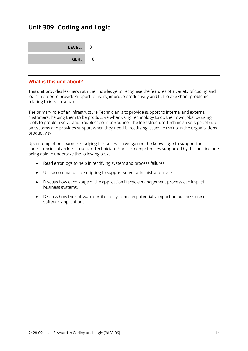# **Unit 309 Coding and Logic**

| LEVEL: 3       |  |
|----------------|--|
| <b>GLH:</b> 18 |  |

# **What is this unit about?**

This unit provides learners with the knowledge to recognise the features of a variety of coding and logic in order to provide support to users, improve productivity and to trouble shoot problems logic in order to provide support to use to provide support to use productivity and to trouble shoot problems. relating to infrastructure.

The primary role of an Infrastructure Technician is to provide support to internal and external<br>customers, helping them to be productive when using technology to do their own jobs, by using tools to problem solve and troubleshoot non-routine. The Infrastructure Technician sets people up  $\frac{1}{2}$  to problem solved and troubles and troubles to problem the Infrastructure  $\frac{1}{2}$  and  $\frac{1}{2}$   $\frac{1}{2}$  for  $\frac{1}{2}$  for  $\frac{1}{2}$  for  $\frac{1}{2}$  for  $\frac{1}{2}$  for  $\frac{1}{2}$  for  $\frac{1}{2}$  for  $\frac{1}{2}$  for on systems and provides support when they need it, rectifying issues to maintain the organisations productivity.

Upon completion, learners studying this unit will have gained the knowledge to support the being able to undertake the following tasks: being able to undertake the following tasks:

- Read error logs to help in rectifying system and process failures.
- Utilise command line scripting to support server administration tasks.
- Discuss how each stage of the application lifecycle management process can impact business systems.
- Discuss how the software certificate system can potentially impact on business use of software applications.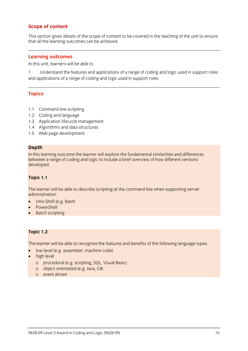#### **Scope of content**

This section gives details of the scope of content to be covered in the teaching of the unit to ensure<br>that all the learning outcomes can be achieved that all the learning outcomes can be achieved.

**Learning outcomes**<br>In this unit, learners will be able to In this unit, learners will be able to

1 Understand the features and applications of a range of coding and logic used in support roles<br>and applications of a range of coding and logic used in support roles and applications of a range of coding and logic used in support roles in support roles in support  $\alpha$ 

#### **Topics**

- 1.1 Command line scripting<br>1.2 Coding and language
- 
- 1.3 Application lifecycle management
- 1.4 Algorithms and data structures
- 1.5 Web page development  $\frac{1}{2}$ .  $\frac{1}{2}$  we have page development of  $\frac{1}{2}$

**Depth**<br>In this learning outcome the learner will explore the fundamental similarities and differences hetween a range of coding and logic to include a brief overview of how different versions between a range of coding and logic to include a brief overview of how different versions developed.

# **Topic 1.1**

The learner will be able to describe scripting at the command line when supporting server

- administration.<br>• Unix Shell (e.g. Bash)<br>• PowerShell
- PowerShell
- Batch scripting

# **Topic 1.2**

- low level (e.g. assembler, machine code)<br>• high level
- 
- high level<br>o procedural (e.g. scripting, SQL, Visual Basic)
	- o object orientated (e.g. Java,  $C#$ )
	- o event driven o event driven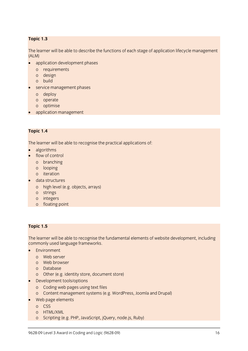# **Topic 1.3**

 $T_A$  and  $T_B$  able to describe the functions of a particle management of  $B$  stage of application lifecycle management of  $B$  stage of  $B$  $(ALM)$ 

- application development phases<br>o requirements
	-
	- o design
	- o build
- $\bullet$  service management phases
	-
	- o deploy<br>o operate
	- o optimise
- application management

# **Topic 1.4**

 $\frac{1}{\sqrt{2}}$  . The learner will be able to recognise the practical applications of:

- algorithms
- flow of control<br>o branching
	-
	- o looping
	- o iteration
- $\bullet$  data structures
	- o high level (e.g. objects, arrays)
	-
	- o integers
	- o floating  $\ddot{\phantom{a}}$  for  $\ddot{\phantom{a}}$  for  $\ddot{\phantom{a}}$

# **Topic 1.5**

 $\sum_{i=1}^n \frac{1}{i}$ commonly used language frameworks.

- Environment<br>o Web server
	-
	- o Web browser
	- o Database
	- o Other (e.g. identity store, document store)
- $\bullet$  Development tools/options
	-
	- o Content management systems (e) o Content management systems (e.g. Press, Joseph and Drupal)
- Web page elements<br>o CSS
	-
	- o HTML/XML
	- o Scrintina le  $\sum_{i=1}^n P_i$  g (e.g. PHP,  $\sum_{i=1}^n P_i$ ),  $\sum_{i=1}^n P_i$ ,  $\sum_{i=1}^n P_i$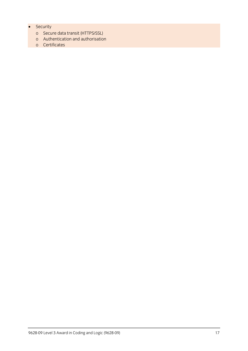- 
- Security<br>o Secure data transit (HTTPS/SSL)
	- o Authentication and authorisation
	- o Authentication and authorisation<br>0 Certificates o Certificates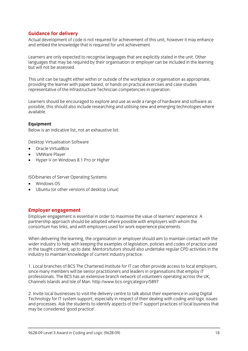**Guidance for delivery**<br>Actual development of code is not required for achievement of this unit, however it may enhance and embed the knowledge that is required for unit achievement. and embed the knowledge that is required for unit achievement.

Learners are only expected to recognise languages that are explicitly stated in the unit. Other<br>languages that may be required by their organisation or employer can be included in the learning but will not be assessed. but will not be assessed.

This unit can be taught either within or outside of the workplace or organisation as appropriate, providing the learner with paper based, or hands on practical exercises and case studies representative of the Infrastructure Technician competencies in operation. representative of the Infrastructure Technician competencies in operation.

Learners should be encouraged to explore and use as wide a range of hardware and software as possible, this should also include researching and utilising new and emerging technologies where available.

**Equipment**<br>Below is an indicative list, not an exhaustive list. Below is an indicative list, not an exhaustive list.

- **Desktop With Software Software**<br> **Oracle VirtualBox**<br> **COMMATE Player**
- VMWare Player
- Hyper-V on Windows 8.1 Pro or Higher

- 
- Windows OS<br>• Uhuntu (or other versions of deskton) Ubuntu (or other versions of desktop Linux)

**Employer engagement**<br>
Employer engagement is essential in order to maximise the value of learners' experience. A partnership approach should be adopted where possible with employers with whom the consortium has links, and with employers used for work experience placements. consortium has links, and with employers used for work experience placements.

When delivering the learning, the organisation or employer should aim to maintain contact with the wider industry to help with keeping the examples of legislation, policies and codes of practice used in the taught content, up to date. Mentors/tutors should also undertake regular CPD activities in the in the taught content, up to date. Menton choice on the also undertake regular CPD activities in the<br>industry to maintain knowledge of current industry practice industry to maintain knowledge of current industry practice.

1. Local branches of BCS The Chartered Institute for IT can often provide access to local employers, since many members will be senior practitioners and leaders in organisations that employ IT professionals. The BCS has an extensive branch network of volunteers operating across the UK. Channels Islands and Isle of Man. http://www.bcs.org/category/5897 Channels Islands and Isle of Man. http://www.bcs.org/category/5897

2. Invite local businesses to visit the delivery centre to talk about their experience in using Digital and processes. Ask the students to identify aspects of the IT support practices of local business that  $\frac{1}{2}$  may be considered 'good practice' may be considered by comparison of the same of the same of the same of the same of the same of the same of the same of the same of the same of the same of the same of the same of the same of the same of the same of the sam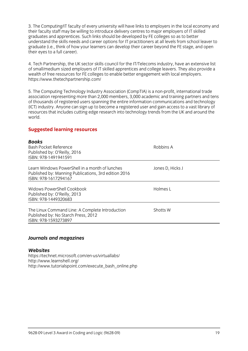3. The Computing/IT faculty of every university will have links to employers in the local economy and their faculty staff may be willing to introduce delivery centres to major employers of IT skilled graduates and apprentices. Such links should be developed by FE colleges so as to better understand the skills needs and career options for IT practitioners at all levels from school leaver to graduate (i.e., think of how your learners can develop their career beyond the FE stage, and open their eyes to a full career).  $\frac{1}{\sqrt{2}}$ 

4. Tech Partnership, the UK sector skills council for the IT/Telecoms industry, have an extensive list of small/medium sized employers of IT skilled apprentices and college leavers. They also provide a wealth of free resources for FE colleges to enable better engagement with local employers. https://www.thetechpartnership.com/ https://www.thetechpartnership.com/

5. The Computing Technology Industry Association (CompTIA) is a non-profit, international trade<br>association representing more than 2,000 members, 3,000 academic and training partners and tens of thousands of registered users spanning the entire information communications and technology (ICT) industry. Anyone can sign up to become a registered user and gain access to a vast library of resources that includes cutting edge research into technology trends from the UK and around the resources that includes contact includes contact into technology trends from the UK and around the UK and around the UK and around the UK and around the UK and around the UK and around the UK and around the UK and around t world.

#### **Suggested learning resources**

#### $D = -1$

| נמעש<br><b>Bash Pocket Reference</b><br>Published by: O'Reilly, 2016<br>ISBN: 978-1491941591                                   | Robbins A        |
|--------------------------------------------------------------------------------------------------------------------------------|------------------|
| Learn Windows PowerShell in a month of lunches<br>Published by: Manning Publications, 3rd edition 2016<br>ISBN: 978-1617294167 | Jones D, Hicks J |
| Widows PowerShell Cookbook<br>Published by: O'Reilly, 2013<br>ISBN: 978-1449320683                                             | Holmes L         |
| The Linux Command Line: A Complete Introduction<br>Published by: No Starch Press, 2012<br>ISBN: 978-1593273897                 | Shotts W         |
|                                                                                                                                |                  |

#### *Journals and magazines*

#### Websites

https://technet.microsoft.com/en-us/virtuallabs/ http://www.learnshell.org/ http://www.tutorialspoint http://www.tutorialspoint.com/execute\_bash\_online.php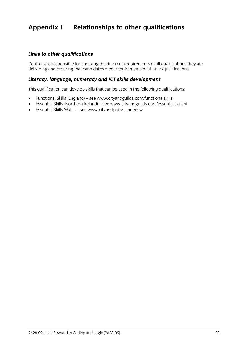# **Appendix 1 Relationships to other qualifications**

#### *Links to other qualifications*

Centres are responsible for checking the different requirements of all units/qualifications they are delivering and ensuring that can deliver meet requirements of all units/qualifications.

#### *Literacy, language, numeracy and ICT skills development*

This qualification can develop skills that can be used in the following qualifications:

- Functional Skills (England) se[e www.](http://www.cityandguilds.com/functionalskills)[cityandguilds.com/functionalskills](http://www.cityandguilds.com/essentialskillsni)<br>● Fssential Skills (Northern Ireland) see www.cityandguilds.com/essentia
- Essential Skills (Northern Ireland) see www.cityandguilds.com/essentialskillsni<br>■ Essential Skills Wales see www.cityandguilds.com/esw
- Essential Skills Wales see [www.cityandguilds.com/esw](http://www.cityandguilds.com/esw)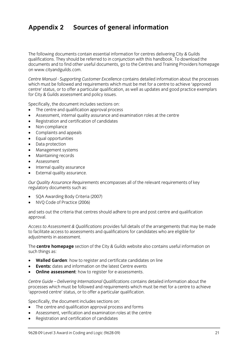# **Appendix 2 Sources of general information**

The following documents contain essential information for centres delivering City & Guilds qualifications. They should be referred to in conjunction with this handbook. To download the documents and to find other useful documents, go to the Centres and Training Providers homepage on www.cityandguilds.com.  $\frac{1}{2}$  and  $\frac{1}{2}$ 

*Centre Manual - Supporting Customer Excellence* contains detailed information about the processes centre' status, or to offer a particular qualification, as well as updates and good practice exemplars for City & Guilds assessment and policy issues. for City & Guilds assessment and policy issues.

- The centre and qualification approval process<br>• Assessment internal quality assurance and ex
- Assessment, internal quality assurance and examination roles at the centre
- Registration and certification of candidates
- Non-compliance
- Complaints and appeals
- Equal opportunities
- Data protection
- Management systems
- Maintaining records
- Assessment
- Internal quality assurance
- External quality assurance.

*Our Quality Assurance Requirements* encompasses all of the relevant requirements of key regulatory documents such as:

- SQA Awarding Body Criteria (2007)
- NVQ Code of Practice (2006)

and sets out the criteria that centres should adhere to pre and post centre and qualification approval. approval.

*Access to Assessment & Qualifications* provides full details of the arrangements that may be made adiustments in assessment. adjustments in assessment.

The **centre homepage** section of the City & Guilds website also contains useful information on  $\mathbf{S}$ 

- **Walled Garden**: how to register and certificate candidates on line
- **Events:** dates and information on the latest Centre events
- **Online assessment**: how to register for e-assessments.

*Centre Guide – Delivering International Qualifications* contains detailed information about the processes which must be followed and requirements which methods where a centre to achieve.<br>'annroved centre' status or to offer a narticular qualification 'approved centre' status, or to offer a particular qualification.

- The centre and qualification approval process and forms
- Assessment, verification and examination roles at the centre
- Registration and certification of candidates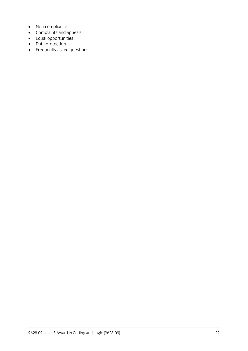- Non-compliance
- Complaints and appeals
- Equal opportunities
- Data protection
- Frequently asked questions.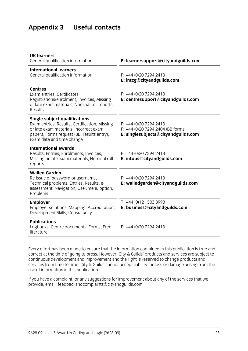# **Appendix 3 Useful contacts**

| <b>UK learners</b><br>General qualification information                                                                                                                                                    | E: learnersupport@cityandguilds.com                                                                 |
|------------------------------------------------------------------------------------------------------------------------------------------------------------------------------------------------------------|-----------------------------------------------------------------------------------------------------|
| <b>International learners</b><br>General qualification information                                                                                                                                         | $F: +44(0)2072942413$<br>E: intcg@cityandguilds.com                                                 |
| <b>Centres</b><br>Exam entries, Certificates,<br>Registrations/enrolment, Invoices, Missing<br>or late exam materials, Nominal roll reports,<br>Results                                                    | $F: +44(0)2072942413$<br>E: centresupport@cityandguilds.com                                         |
| <b>Single subject qualifications</b><br>Exam entries, Results, Certification, Missing<br>or late exam materials, Incorrect exam<br>papers, Forms request (BB, results entry),<br>Exam date and time change | $F: +44(0)2072942413$<br>$F: +44$ (0)20 7294 2404 (BB forms)<br>E: singlesubjects@cityandguilds.com |
| <b>International awards</b><br>Results, Entries, Enrolments, Invoices,<br>Missing or late exam materials, Nominal roll<br>reports                                                                          | $F: +44(0)2072942413$<br>E: intops@cityandguilds.com                                                |
| <b>Walled Garden</b><br>Re-issue of password or username,<br>Technical problems, Entries, Results, e-<br>assessment, Navigation, User/menu option,<br>Problems                                             | $F: +44(0)2072942413$<br>E: walledgarden@cityandguilds.com                                          |
| <b>Employer</b><br>Employer solutions, Mapping, Accreditation,<br>Development Skills, Consultancy                                                                                                          | $T: +44(0)1215038993$<br>E: business@cityandguilds.com                                              |
| <b>Publications</b><br>Logbooks, Centre documents, Forms, Free<br>literature                                                                                                                               | $F: +44(0)2072942413$                                                                               |
|                                                                                                                                                                                                            |                                                                                                     |

Every effort has been made to ensure that the information contained in this publication is true and correct at the time of going to press. However, City & Guilds' products and services are subject to continuous development and improvement and the right is reserved to change products and continuous development and improvement and the right increase to change and the right is reserved to change and the right increase to change and the right is respectively. services from time to time. City & Guilds cannot accept liability for loss or damage arising from the use of information in this publication.

If you have a complete a complaint in the service and the services that we have a complete the services that we have a control of the services that we have a control of the services that we have a control of the service th provide, email[: feedbackandcomplaints@cityandguilds.com](http://feedbackandcomplaints@cityandguilds.com)